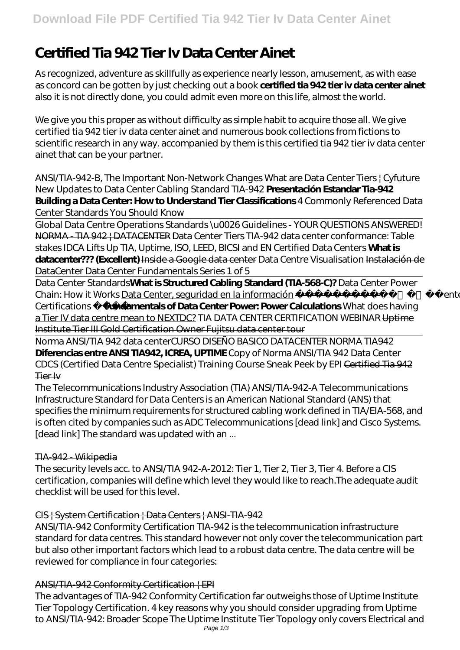# **Certified Tia 942 Tier Iv Data Center Ainet**

As recognized, adventure as skillfully as experience nearly lesson, amusement, as with ease as concord can be gotten by just checking out a book **certified tia 942 tier iv data center ainet** also it is not directly done, you could admit even more on this life, almost the world.

We give you this proper as without difficulty as simple habit to acquire those all. We give certified tia 942 tier iv data center ainet and numerous book collections from fictions to scientific research in any way. accompanied by them is this certified tia 942 tier iv data center ainet that can be your partner.

ANSI/TIA-942-B, The Important Non-Network Changes What are Data Center Tiers | Cyfuture New Updates to Data Center Cabling Standard TIA-942 **Presentación Estandar Tia-942 Building a Data Center: How to Understand Tier Classifications** *4 Commonly Referenced Data Center Standards You Should Know*

Global Data Centre Operations Standards \u0026 Guidelines - YOUR QUESTIONS ANSWERED! NORMA - TIA 942 | DATACENTER Data Center Tiers TIA-942 data center conformance: Table stakes *IDCA Lifts Up TIA, Uptime, ISO, LEED, BICSI and EN Certified Data Centers* **What is datacenter??? (Excellent)** Inside a Google data center Data Centre Visualisation Instalación de DataCenter Data Center Fundamentals Series 1 of 5

Data Center Standards**What is Structured Cabling Standard (TIA-568-C)?** *Data Center Power Chain: How it Works* Data Center, seguridad en la información — Top 4 Data Center Certifications **Fundamentals of Data Center Power: Power Calculations** What does having a Tier IV data centre mean to NEXTDC? TIA DATA CENTER CERTIFICATION WEBINAR Uptime Institute Tier III Gold Certification Owner Fujitsu data center tour

Norma ANSI/TIA 942 data center*CURSO DISEÑO BASICO DATACENTER NORMA TIA942* **Diferencias entre ANSI TIA942, ICREA, UPTIME** Copy of Norma ANSI/TIA 942 Data Center *CDCS (Certified Data Centre Specialist) Training Course Sneak Peek by EPI* Certified Tia 942 Tier Iv

The Telecommunications Industry Association (TIA) ANSI/TIA-942-A Telecommunications Infrastructure Standard for Data Centers is an American National Standard (ANS) that specifies the minimum requirements for structured cabling work defined in TIA/EIA-568, and is often cited by companies such as ADC Telecommunications [dead link] and Cisco Systems. [dead link] The standard was updated with an ...

# TIA-942 - Wikipedia

The security levels acc. to ANSI/TIA 942-A-2012: Tier 1, Tier 2, Tier 3, Tier 4. Before a CIS certification, companies will define which level they would like to reach.The adequate audit checklist will be used for this level.

## CIS | System Certification | Data Centers | ANSI-TIA-942

ANSI/TIA-942 Conformity Certification TIA-942 is the telecommunication infrastructure standard for data centres. This standard however not only cover the telecommunication part but also other important factors which lead to a robust data centre. The data centre will be reviewed for compliance in four categories:

# ANSI/TIA-942 Conformity Certification | EPI

The advantages of TIA-942 Conformity Certification far outweighs those of Uptime Institute Tier Topology Certification. 4 key reasons why you should consider upgrading from Uptime to ANSI/TIA-942: Broader Scope The Uptime Institute Tier Topology only covers Electrical and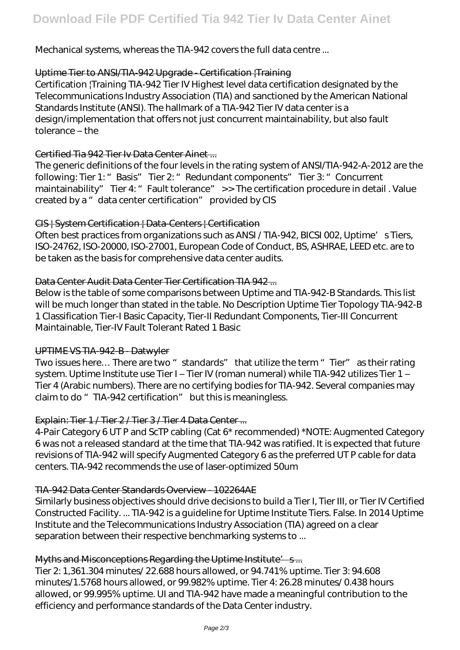Mechanical systems, whereas the TIA-942 covers the full data centre ...

## Uptime Tier to ANSI/TIA-942 Upgrade - Certification |Training

Certification |Training TIA-942 Tier IV Highest level data certification designated by the Telecommunications Industry Association (TIA) and sanctioned by the American National Standards Institute (ANSI). The hallmark of a TIA-942 Tier IV data center is a design/implementation that offers not just concurrent maintainability, but also fault tolerance – the

## Certified Tia 942 Tier Iv Data Center Ainet ...

The generic definitions of the four levels in the rating system of ANSI/TIA-942-A-2012 are the following: Tier 1: " Basis" Tier 2: " Redundant components" Tier 3: " Concurrent maintainability" Tier 4: " Fault tolerance" >> The certification procedure in detail . Value created by a "data center certification" provided by CIS

## CIS | System Certification | Data-Centers | Certification

Often best practices from organizations such as ANSI / TIA-942, BICSI 002, Uptime's Tiers, ISO-24762, ISO-20000, ISO-27001, European Code of Conduct, BS, ASHRAE, LEED etc. are to be taken as the basis for comprehensive data center audits.

## Data Center Audit Data Center Tier Certification TIA 942 ...

Below is the table of some comparisons between Uptime and TIA-942-B Standards. This list will be much longer than stated in the table. No Description Uptime Tier Topology TIA-942-B 1 Classification Tier-I Basic Capacity, Tier-II Redundant Components, Tier-III Concurrent Maintainable, Tier-IV Fault Tolerant Rated 1 Basic

## UPTIME VS TIA-942-B - Datwyler

Two issues here... There are two " standards" that utilize the term " Tier" as their rating system. Uptime Institute use Tier I – Tier IV (roman numeral) while TIA-942 utilizes Tier 1 – Tier 4 (Arabic numbers). There are no certifying bodies for TIA-942. Several companies may claim to do " TIA-942 certification" but this is meaningless.

## Explain: Tier 1 / Tier 2 / Tier 3 / Tier 4 Data Center ...

4-Pair Category 6 UT P and ScTP cabling (Cat 6\* recommended) \*NOTE: Augmented Category 6 was not a released standard at the time that TIA-942 was ratified. It is expected that future revisions of TIA-942 will specify Augmented Category 6 as the preferred UT P cable for data centers. TIA-942 recommends the use of laser-optimized 50um

## TIA-942 Data Center Standards Overview - 102264AE

Similarly business objectives should drive decisions to build a Tier I, Tier III, or Tier IV Certified Constructed Facility. ... TIA-942 is a guideline for Uptime Institute Tiers. False. In 2014 Uptime Institute and the Telecommunications Industry Association (TIA) agreed on a clear separation between their respective benchmarking systems to ...

## Myths and Misconceptions Regarding the Uptime Institute's...

Tier 2: 1,361.304 minutes/ 22.688 hours allowed, or 94.741% uptime. Tier 3: 94.608 minutes/1.5768 hours allowed, or 99.982% uptime. Tier 4: 26.28 minutes/ 0.438 hours allowed, or 99.995% uptime. UI and TIA-942 have made a meaningful contribution to the efficiency and performance standards of the Data Center industry.